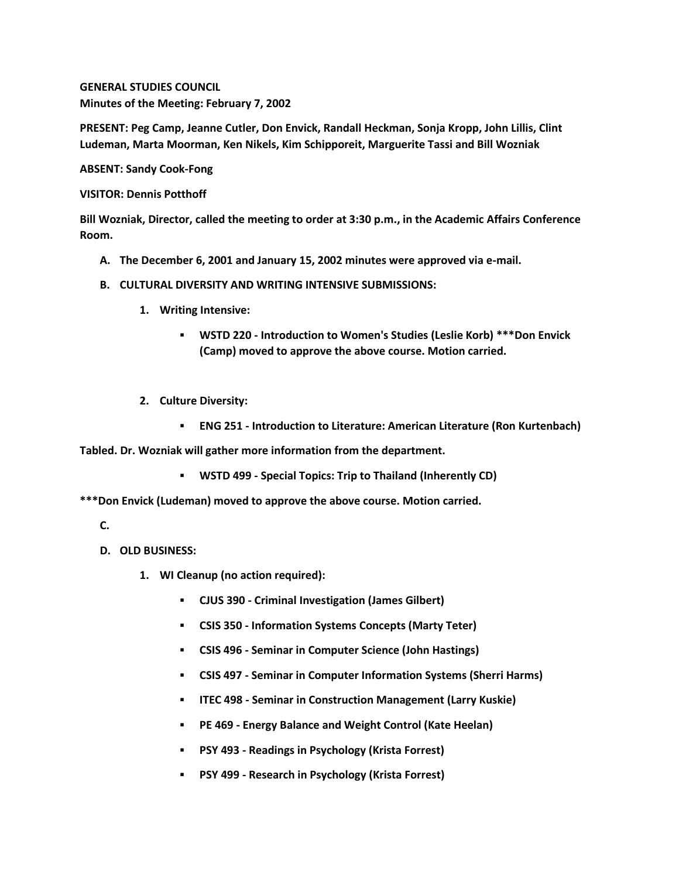**GENERAL STUDIES COUNCIL Minutes of the Meeting: February 7, 2002**

**PRESENT: Peg Camp, Jeanne Cutler, Don Envick, Randall Heckman, Sonja Kropp, John Lillis, Clint Ludeman, Marta Moorman, Ken Nikels, Kim Schipporeit, Marguerite Tassi and Bill Wozniak**

**ABSENT: Sandy Cook-Fong**

**VISITOR: Dennis Potthoff**

**Bill Wozniak, Director, called the meeting to order at 3:30 p.m., in the Academic Affairs Conference Room.**

- **A. The December 6, 2001 and January 15, 2002 minutes were approved via e-mail.**
- **B. CULTURAL DIVERSITY AND WRITING INTENSIVE SUBMISSIONS:**
	- **1. Writing Intensive:** 
		- **WSTD 220 - Introduction to Women's Studies (Leslie Korb) \*\*\*Don Envick (Camp) moved to approve the above course. Motion carried.**
	- **2. Culture Diversity:** 
		- **ENG 251 - Introduction to Literature: American Literature (Ron Kurtenbach)**

**Tabled. Dr. Wozniak will gather more information from the department.** 

**WSTD 499 - Special Topics: Trip to Thailand (Inherently CD)**

**\*\*\*Don Envick (Ludeman) moved to approve the above course. Motion carried.**

- **C.**
- **D. OLD BUSINESS:**
	- **1. WI Cleanup (no action required):** 
		- **CJUS 390 - Criminal Investigation (James Gilbert)**
		- **CSIS 350 - Information Systems Concepts (Marty Teter)**
		- **CSIS 496 - Seminar in Computer Science (John Hastings)**
		- **CSIS 497 - Seminar in Computer Information Systems (Sherri Harms)**
		- **ITEC 498 - Seminar in Construction Management (Larry Kuskie)**
		- **PE 469 - Energy Balance and Weight Control (Kate Heelan)**
		- **PSY 493 - Readings in Psychology (Krista Forrest)**
		- **PSY 499 - Research in Psychology (Krista Forrest)**